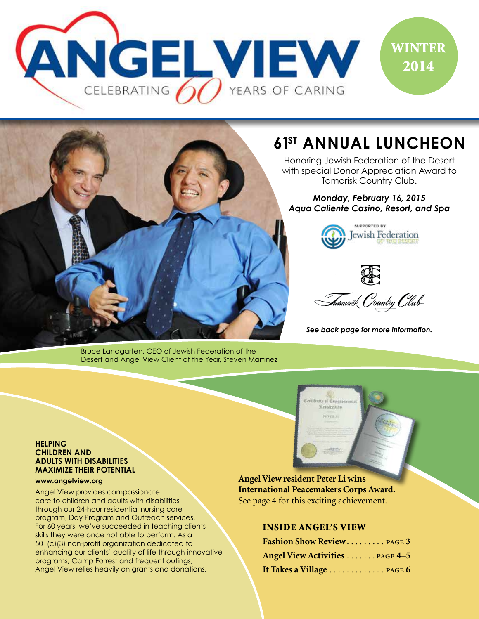

# SUPPORTED BY

Bruce Landgarten, CEO of Jewish Federation of the Desert and Angel View Client of the Year, Steven Martinez

# **61ST ANNUAL LUNCHEON**

Honoring Jewish Federation of the Desert with special Donor Appreciation Award to Tamarisk Country Club.

*Monday, February 16, 2015 Aqua Caliente Casino, Resort, and Spa*





*See back page for more information.*

#### **HELPING CHILDREN AND ADULTS WITH DISABILITIES MAXIMIZE THEIR POTENTIAL**

#### **www.angelview.org**

Angel View provides compassionate care to children and adults with disabilities through our 24-hour residential nursing care program, Day Program and Outreach services. For 60 years, we've succeeded in teaching clients skills they were once not able to perform. As a 501(c)(3) non-profit organization dedicated to enhancing our clients' quality of life through innovative programs, Camp Forrest and frequent outings, Angel View relies heavily on grants and donations.

**Angel View resident Peter Li wins International Peacemakers Corps Award.** See page 4 for this exciting achievement.

**Mr** at Congre Reisignation **Henrich** 

#### INSIDE ANGEL'S VIEW

| Fashion Show Review PAGE 3     |  |
|--------------------------------|--|
| Angel View Activities PAGE 4-5 |  |
| It Takes a Village  PAGE 6     |  |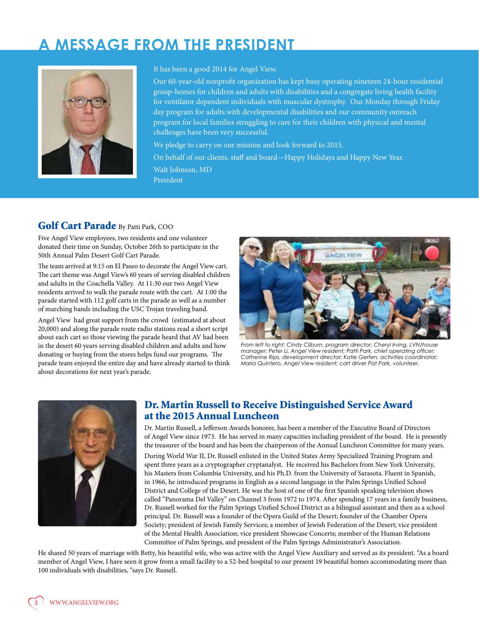# **A MESSAGE FROM THE PRESIDENT**



#### It has been a good 2014 for Angel View.

Our 60-year-old nonprofit organization has kept busy operating nineteen 24-hour residential group-homes for children and adults with disabilities and a congregate living health facility for ventilator dependent individuals with muscular dystrophy. Our Monday through Friday day program for adults with developmental disabilities and our community outreach program for local families struggling to care for their children with physical and mental challenges have been very successful.

We pledge to carry on our mission and look forward to 2015.

On behalf of our clients, staff and board—Happy Holidays and Happy New Year. Walt Johnson, MD President

#### Golf Cart Parade By Patti Park, COO

Five Angel View employees, two residents and one volunteer donated their time on Sunday, October 26th to participate in the 50th Annual Palm Desert Golf Cart Parade.

The team arrived at 9:15 on El Paseo to decorate the Angel View cart. The cart theme was Angel View's 60 years of serving disabled children and adults in the Coachella Valley. At 11:30 our two Angel View residents arrived to walk the parade route with the cart. At 1:00 the parade started with 112 golf carts in the parade as well as a number of marching bands including the USC Trojan traveling band.

Angel View had great support from the crowd (estimated at about 20,000) and along the parade route radio stations read a short script about each cart so those viewing the parade heard that AV had been in the desert 60 years serving disabled children and adults and how donating or buying from the stores helps fund our programs. The parade team enjoyed the entire day and have already started to think about decorations for next year's parade.



*From left to right: Cindy Cliburn, program director; Cheryl Irving, LVN/house manager; Peter Li, Angel View resident; Patti Park, chief operating officer; Catherine Rips, development director; Katie Gerfen, activities coordinator; Maria Quintero, Angel View resident; cart driver Pat Park, volunteer.*



#### Dr. Martin Russell to Receive Distinguished Service Award at the 2015 Annual Luncheon

Dr. Martin Russell, a Jefferson Awards honoree, has been a member of the Executive Board of Directors of Angel View since 1973. He has served in many capacities including president of the board. He is presently the treasurer of the board and has been the chairperson of the Annual Luncheon Committee for many years.

During World War II, Dr. Russell enlisted in the United States Army Specialized Training Program and spent three years as a cryptographer cryptanalyst. He received his Bachelors from New York University, his Masters from Columbia University, and his Ph.D. from the University of Sarasota. Fluent in Spanish, in 1966, he introduced programs in English as a second language in the Palm Springs Unified School District and College of the Desert. He was the host of one of the first Spanish speaking television shows called "Panorama Del Valley" on Channel 3 from 1972 to 1974. After spending 17 years in a family business, Dr. Russell worked for the Palm Springs Unified School District as a bilingual assistant and then as a school principal. Dr. Russell was a founder of the Opera Guild of the Desert; founder of the Chamber Opera Society; president of Jewish Family Services; a member of Jewish Federation of the Desert; vice president of the Mental Health Association; vice president Showcase Concerts; member of the Human Relations Committee of Palm Springs, and president of the Palm Springs Administrator's Association.

He shared 50 years of marriage with Betty, his beautiful wife, who was active with the Angel View Auxiliary and served as its president. "As a board member of Angel View, I have seen it grow from a small facility to a 52-bed hospital to our present 19 beautiful homes accommodating more than 100 individuals with disabilities, "says Dr. Russell.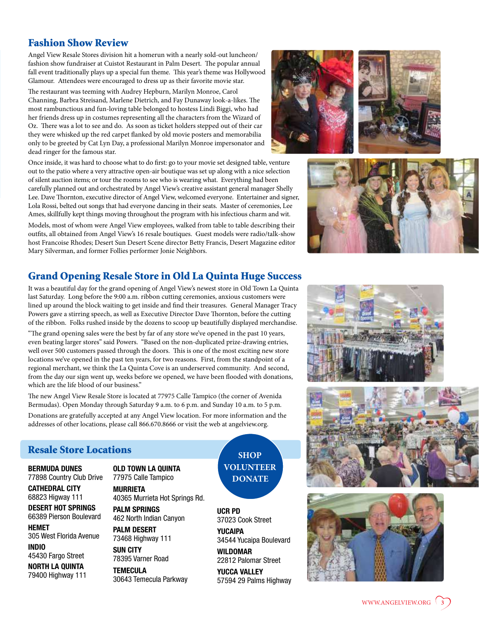## Fashion Show Review

Angel View Resale Stores division hit a homerun with a nearly sold-out luncheon/ fashion show fundraiser at Cuistot Restaurant in Palm Desert. The popular annual fall event traditionally plays up a special fun theme. This year's theme was Hollywood Glamour. Attendees were encouraged to dress up as their favorite movie star.

The restaurant was teeming with Audrey Hepburn, Marilyn Monroe, Carol Channing, Barbra Streisand, Marlene Dietrich, and Fay Dunaway look-a-likes. The most rambunctious and fun-loving table belonged to hostess Lindi Biggi, who had her friends dress up in costumes representing all the characters from the Wizard of Oz. There was a lot to see and do. As soon as ticket holders stepped out of their car they were whisked up the red carpet flanked by old movie posters and memorabilia only to be greeted by Cat Lyn Day, a professional Marilyn Monroe impersonator and dead ringer for the famous star.

Once inside, it was hard to choose what to do first: go to your movie set designed table, venture out to the patio where a very attractive open-air boutique was set up along with a nice selection of silent auction items; or tour the rooms to see who is wearing what. Everything had been carefully planned out and orchestrated by Angel View's creative assistant general manager Shelly Lee. Dave Thornton, executive director of Angel View, welcomed everyone. Entertainer and signer, Lola Rossi, belted out songs that had everyone dancing in their seats. Master of ceremonies, Lee Ames, skillfully kept things moving throughout the program with his infectious charm and wit.

Models, most of whom were Angel View employees, walked from table to table describing their outfits, all obtained from Angel View's 16 resale boutiques. Guest models were radio/talk-show host Francoise Rhodes; Desert Sun Desert Scene director Betty Francis, Desert Magazine editor Mary Silverman, and former Follies performer Jonie Neighbors.

## Grand Opening Resale Store in Old La Quinta Huge Success

It was a beautiful day for the grand opening of Angel View's newest store in Old Town La Quinta last Saturday. Long before the 9:00 a.m. ribbon cutting ceremonies, anxious customers were lined up around the block waiting to get inside and find their treasures. General Manager Tracy Powers gave a stirring speech, as well as Executive Director Dave Thornton, before the cutting of the ribbon. Folks rushed inside by the dozens to scoop up beautifully displayed merchandise.

"The grand opening sales were the best by far of any store we've opened in the past 10 years, even beating larger stores" said Powers. "Based on the non-duplicated prize-drawing entries, well over 500 customers passed through the doors. This is one of the most exciting new store locations we've opened in the past ten years, for two reasons. First, from the standpoint of a regional merchant, we think the La Quinta Cove is an underserved community. And second, from the day our sign went up, weeks before we opened, we have been flooded with donations, which are the life blood of our business."

The new Angel View Resale Store is located at 77975 Calle Tampico (the corner of Avenida Bermudas). Open Monday through Saturday 9 a.m. to 6 p.m. and Sunday 10 a.m. to 5 p.m.

Donations are gratefully accepted at any Angel View location. For more information and the addresses of other locations, please call 866.670.8666 or visit the web at angelview.org.

#### Resale Store Locations

**BERMUDA DUNES** 77898 Country Club Drive

**CATHEDRAL CITY** 68823 Higway 111

**DESERT HOT SPRINGS** 66389 Pierson Boulevard

**HEMET** 305 West Florida Avenue

**INDIO** 45430 Fargo Street

**NORTH LA QUINTA** 79400 Highway 111 **OLD TOWN LA QUINTA** 77975 Calle Tampico

**MURRIETA** 40365 Murrieta Hot Springs Rd.

**PALM SPRINGS** 462 North Indian Canyon

**PALM DESERT** 73468 Highway 111

**SUN CITY** 78395 Varner Road

**TEMECULA** 30643 Temecula Parkway

**SHOP VOLUNTEER DONATE**

**UCR PD** 37023 Cook Street

**YUCAIPA**

34544 Yucaipa Boulevard **WILDOMAR**

22812 Palomar Street **YUCCA VALLEY**

57594 29 Palms Highway











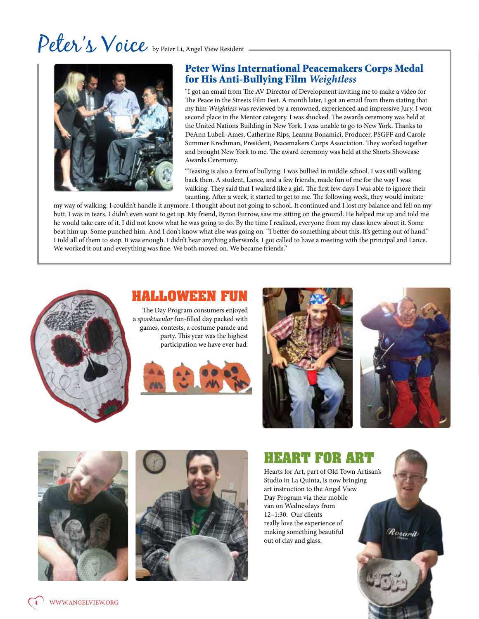# Peter's Voice by Peter Li, Angel View Resident



## Peter Wins International Peacemakers Corps Medal for His Anti-Bullying Film *Weightless*

"I got an email from The AV Director of Development inviting me to make a video for The Peace in the Streets Film Fest. A month later, I got an email from them stating that my film *Weightless* was reviewed by a renowned, experienced and impressive Jury. I won second place in the Mentor category. I was shocked. The awards ceremony was held at the United Nations Building in New York. I was unable to go to New York. Thanks to DeAnn Lubell-Ames, Catherine Rips, Leanna Bonamici, Producer, PSGFF and Carole Summer Krechman, President, Peacemakers Corps Association. They worked together and brought New York to me. The award ceremony was held at the Shorts Showcase Awards Ceremony.

"Teasing is also a form of bullying. I was bullied in middle school. I was still walking back then. A student, Lance, and a few friends, made fun of me for the way I was walking. They said that I walked like a girl. The first few days I was able to ignore their taunting. After a week, it started to get to me. The following week, they would imitate

my way of walking. I couldn't handle it anymore. I thought about not going to school. It continued and I lost my balance and fell on my butt. I was in tears. I didn't even want to get up. My friend, Byron Furrow, saw me sitting on the ground. He helped me up and told me he would take care of it. I did not know what he was going to do. By the time I realized, everyone from my class knew about it. Some beat him up. Some punched him. And I don't know what else was going on. "I better do something about this. It's getting out of hand." I told all of them to stop. It was enough. I didn't hear anything afterwards. I got called to have a meeting with the principal and Lance. We worked it out and everything was fine. We both moved on. We became friends."



# **HALLOWEEN FUN**

The Day Program consumers enjoyed a *spooktacular* fun-filled day packed with games, contests, a costume parade and party. This year was the highest participation we have ever had.







Rosarit





# **HEART FOR ART**

Hearts for Art, part of Old Town Artisan's Studio in La Quinta, is now bringing art instruction to the Angel View Day Program via their mobile van on Wednesdays from 12–1:30. Our clients really love the experience of making something beautiful out of clay and glass.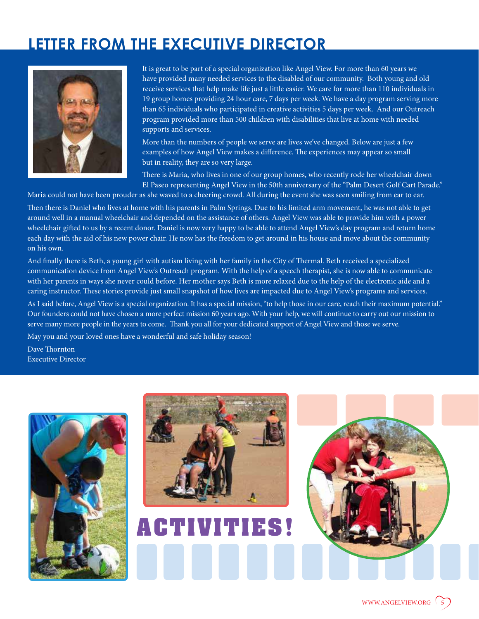# **LETTER FROM THE EXECUTIVE DIRECTOR**



It is great to be part of a special organization like Angel View. For more than 60 years we have provided many needed services to the disabled of our community. Both young and old receive services that help make life just a little easier. We care for more than 110 individuals in 19 group homes providing 24 hour care, 7 days per week. We have a day program serving more than 65 individuals who participated in creative activities 5 days per week. And our Outreach program provided more than 500 children with disabilities that live at home with needed supports and services.

More than the numbers of people we serve are lives we've changed. Below are just a few examples of how Angel View makes a difference. The experiences may appear so small but in reality, they are so very large.

There is Maria, who lives in one of our group homes, who recently rode her wheelchair down El Paseo representing Angel View in the 50th anniversary of the "Palm Desert Golf Cart Parade."

Maria could not have been prouder as she waved to a cheering crowd. All during the event she was seen smiling from ear to ear.

Then there is Daniel who lives at home with his parents in Palm Springs. Due to his limited arm movement, he was not able to get around well in a manual wheelchair and depended on the assistance of others. Angel View was able to provide him with a power wheelchair gifted to us by a recent donor. Daniel is now very happy to be able to attend Angel View's day program and return home each day with the aid of his new power chair. He now has the freedom to get around in his house and move about the community on his own.

And finally there is Beth, a young girl with autism living with her family in the City of Thermal. Beth received a specialized communication device from Angel View's Outreach program. With the help of a speech therapist, she is now able to communicate with her parents in ways she never could before. Her mother says Beth is more relaxed due to the help of the electronic aide and a caring instructor. These stories provide just small snapshot of how lives are impacted due to Angel View's programs and services. As I said before, Angel View is a special organization. It has a special mission, "to help those in our care, reach their maximum potential." Our founders could not have chosen a more perfect mission 60 years ago. With your help, we will continue to carry out our mission to serve many more people in the years to come. Thank you all for your dedicated support of Angel View and those we serve.

May you and your loved ones have a wonderful and safe holiday season!

Dave Thornton Executive Director





**ACTIVITIES!**

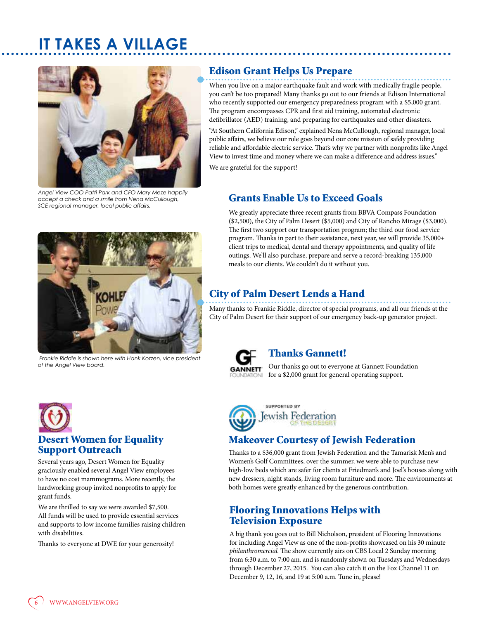# **IT TAKES A VILLAGE**



*Angel View COO Patti Park and CFO Mary Meze happily accept a check and a smile from Nena McCullough, SCE regional manager, local public affairs.*

## Edison Grant Helps Us Prepare

When you live on a major earthquake fault and work with medically fragile people, you can't be too prepared! Many thanks go out to our friends at Edison International who recently supported our emergency preparedness program with a \$5,000 grant. The program encompasses CPR and first aid training, automated electronic defibrillator (AED) training, and preparing for earthquakes and other disasters.

"At Southern California Edison," explained Nena McCullough, regional manager, local public affairs, we believe our role goes beyond our core mission of safely providing reliable and affordable electric service. That's why we partner with nonprofits like Angel View to invest time and money where we can make a difference and address issues." We are grateful for the support!

## Grants Enable Us to Exceed Goals

We greatly appreciate three recent grants from BBVA Compass Foundation (\$2,500), the City of Palm Desert (\$5,000) and City of Rancho Mirage (\$3,000). The first two support our transportation program; the third our food service program. Thanks in part to their assistance, next year, we will provide 35,000+ client trips to medical, dental and therapy appointments, and quality of life outings. We'll also purchase, prepare and serve a record-breaking 135,000 meals to our clients. We couldn't do it without you.

## City of Palm Desert Lends a Hand

Many thanks to Frankie Riddle, director of special programs, and all our friends at the City of Palm Desert for their support of our emergency back-up generator project.



## Thanks Gannett!

Our thanks go out to everyone at Gannett Foundation **GANNETT** for a \$2,000 grant for general operating support.



# Support Outreach

*of the Angel View board.*

Several years ago, Desert Women for Equality graciously enabled several Angel View employees to have no cost mammograms. More recently, the hardworking group invited nonprofits to apply for grant funds.

We are thrilled to say we were awarded \$7,500. All funds will be used to provide essential services and supports to low income families raising children with disabilities.

Thanks to everyone at DWE for your generosity!



## Makeover Courtesy of Jewish Federation

Thanks to a \$36,000 grant from Jewish Federation and the Tamarisk Men's and Women's Golf Committees, over the summer, we were able to purchase new high-low beds which are safer for clients at Friedman's and Joel's houses along with new dressers, night stands, living room furniture and more. The environments at both homes were greatly enhanced by the generous contribution.

## Flooring Innovations Helps with Television Exposure

A big thank you goes out to Bill Nicholson, president of Flooring Innovations for including Angel View as one of the non-profits showcased on his 30 minute *philanthromercial.* The show currently airs on CBS Local 2 Sunday morning from 6:30 a.m. to 7:00 am. and is randomly shown on Tuesdays and Wednesdays through December 27, 2015. You can also catch it on the Fox Channel 11 on December 9, 12, 16, and 19 at 5:00 a.m. Tune in, please!

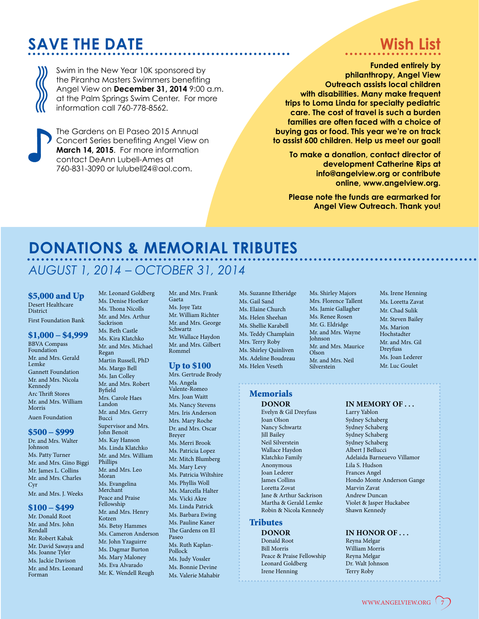# **SAVE THE DATE**

# **Wish List**

Swim in the New Year 10K sponsored by the Piranha Masters Swimmers benefiting Angel View on **December 31, 2014** 9:00 a.m. at the Palm Springs Swim Center. For more information call 760-778-8562.



The Gardens on El Paseo 2015 Annual Concert Series benefiting Angel View on **March 14, 2015**. For more information contact DeAnn Lubell-Ames at 760-831-3090 or lulubell24@aol.com.

#### **Funded entirely by philanthropy, Angel View Outreach assists local children with disabilities. Many make frequent trips to Loma Linda for specialty pediatric care. The cost of travel is such a burden families are often faced with a choice of buying gas or food. This year we're on track to assist 600 children. Help us meet our goal!**

**To make a donation, contact director of development Catherine Rips at info@angelview.org or contribute online, www.angelview.org.** 

**Please note the funds are earmarked for Angel View Outreach. Thank you!**

# **DONATIONS & MEMORIAL TRIBUTES**

# *AUGUST 1, 2014 – OCTOBER 31, 2014*

\$5,000 and Up Desert Healthcare **District** First Foundation Bank

#### \$1,000 – \$4,999

BBVA Compass Foundation Mr. and Mrs. Gerald Lemke Gannett Foundation Mr. and Mrs. Nicola Kennedy Arc Thrift Stores Mr. and Mrs. William Morris Auen Foundation

#### \$500 – \$999

Dr. and Mrs. Walter Johnson Ms. Patty Turner Mr. and Mrs. Gino Biggi Mr. James L. Collins Mr. and Mrs. Charles Cyr Mr. and Mrs. J. Weeks

#### \$100 – \$499

Mr. Donald Root Mr. and Mrs. John Rendall Mr. Robert Kabak Mr. David Sawaya and Ms. Joanne Tyler Ms. Jackie Davison Mr. and Mrs. Leonard Forman

Mr. Leonard Goldberg Ms. Denise Hoetker Ms. Thona Nicolls Mr. and Mrs. Arthur Sackrison Ms. Beth Castle Ms. Kira Klatchko Mr. and Mrs. Michael Regan Martin Russell, PhD Ms. Margo Bell Ms. Jan Colley Mr. and Mrs. Robert Byfield Mrs. Carole Haes Landon Mr. and Mrs. Gerry Bucci Supervisor and Mrs. John Benoit Ms. Kay Hanson Ms. Linda Klatchko Mr. and Mrs. William Phillips Mr. and Mrs. Leo Moran Ms. Evangelina Merchant Peace and Praise Fellowship Mr. and Mrs. Henry Kotzen Ms. Betsy Hammes Ms. Cameron Anderson Mr. John Yzaguirre Ms. Dagmar Burton Ms. Mary Maloney Ms. Eva Alvarado Mr. K. Wendell Reugh

Mr. and Mrs. Frank Gaeta Ms. Joye Tatz Mr. William Richter Mr. and Mrs. George Schwartz Mr. Wallace Haydon Mr. and Mrs. Gilbert Rommel

#### Up to \$100

Mrs. Gertrude Brody Ms. Angela Valente-Romeo Mrs. Joan Waitt Ms. Nancy Stevens Mrs. Iris Anderson Mrs. Mary Roche Dr. and Mrs. Oscar Breyer Ms. Merri Brook Ms. Patricia Lopez Mr. Mitch Blumberg Ms. Mary Levy Ms. Patricia Wiltshire Ms. Phyllis Woll Ms. Marcella Halter Ms. Vicki Akre Ms. Linda Patrick Ms. Barbara Ewing Ms. Pauline Kaner The Gardens on El Paseo Ms. Ruth Kaplan-Pollock Ms. Judy Vossler Ms. Bonnie Devine Ms. Valerie Mahabir

Ms. Suzanne Etheridge Ms. Gail Sand Ms. Elaine Church Ms. Helen Sheehan Ms. Shellie Karabell Ms. Teddy Champlain Mrs. Terry Roby Ms. Shirley Quinliven Ms. Adeline Boudreau Ms. Helen Veseth

#### Memorials

Evelyn & Gil Dreyfuss<br>Joan Olson Joan Olson Sydney Schaberg Nancy Schwartz Sydney Schaberg<br>
Iill Bailey Sydney Schaberg<br>
Sydney Schaberg Jill Bailey Sydney Schaberg Neil Silverstein Sydney Schaberg Anonymous Lila S. Hudson Joan Lederer Frances Angel Loretta Zovat Marvin Zavat Jane & Arthur Sackrison<br>
Martha & Gerald Lemke<br>
Violet & Jasper F Robin & Nicola Kennedy

#### **Tributes**

**DONOR IN HONOR OF ...**<br>Donald Root **Revna Melgar** Donald Root Reyna Melgar Peace & Praise Fellowship Reyna Melgar<br>
Leonard Goldberg Dr. Walt Johnson Leonard Goldberg Irene Henning Terry Roby

Ms. Shirley Majors Mrs. Florence Tallent Ms. Jamie Gallagher Mr. and Mrs. Wayne Mr. and Mrs. Maurice Ms. Irene Henning Ms. Loretta Zavat Mr. Chad Sulik Mr. Steven Bailey Ms. Marion Hochstadter Mr. and Mrs. Gil Dreyfuss Ms. Joan Lederer Mr. Luc Goulet

Ms. Renee Rosen Mr. G. Eldridge

Mr. and Mrs. Neil Silverstein

Johnson

Olson

# **DONOR IN MEMORY OF ...**<br>Evelyn & Gil Dreyfuss *Larry Yablon*

Albert J Bellucci Klatchko Family Adelaida Barneuevo Villamor James Collins **Hondo Monte Anderson Gange** Violet & Jasper Huckabee<br>Shawn Kennedy

William Morris<br>Reyna Melgar